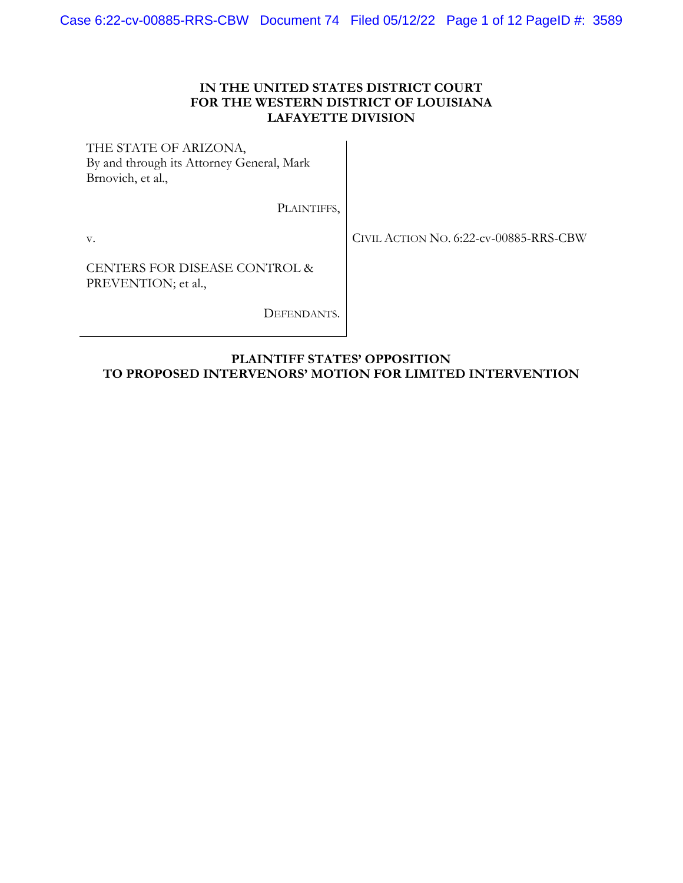# **IN THE UNITED STATES DISTRICT COURT FOR THE WESTERN DISTRICT OF LOUISIANA LAFAYETTE DIVISION**

THE STATE OF ARIZONA, By and through its Attorney General, Mark Brnovich, et al.,

PLAINTIFFS,

v.

CIVIL ACTION NO. 6:22-cv-00885-RRS-CBW

CENTERS FOR DISEASE CONTROL & PREVENTION; et al.,

DEFENDANTS.

# **PLAINTIFF STATES' OPPOSITION TO PROPOSED INTERVENORS' MOTION FOR LIMITED INTERVENTION**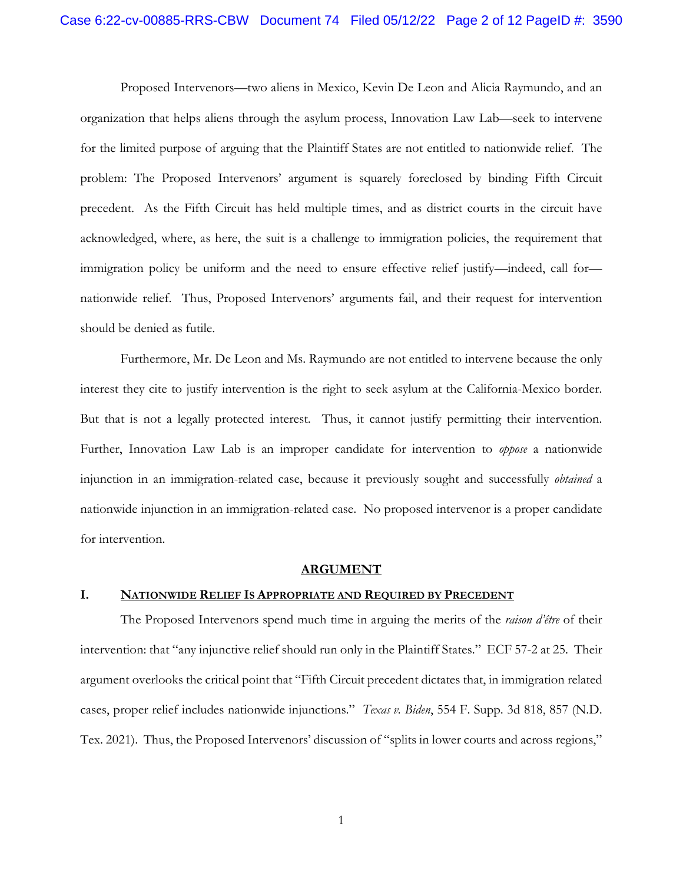Proposed Intervenors—two aliens in Mexico, Kevin De Leon and Alicia Raymundo, and an organization that helps aliens through the asylum process, Innovation Law Lab—seek to intervene for the limited purpose of arguing that the Plaintiff States are not entitled to nationwide relief. The problem: The Proposed Intervenors' argument is squarely foreclosed by binding Fifth Circuit precedent. As the Fifth Circuit has held multiple times, and as district courts in the circuit have acknowledged, where, as here, the suit is a challenge to immigration policies, the requirement that immigration policy be uniform and the need to ensure effective relief justify—indeed, call for nationwide relief. Thus, Proposed Intervenors' arguments fail, and their request for intervention should be denied as futile.

Furthermore, Mr. De Leon and Ms. Raymundo are not entitled to intervene because the only interest they cite to justify intervention is the right to seek asylum at the California-Mexico border. But that is not a legally protected interest. Thus, it cannot justify permitting their intervention. Further, Innovation Law Lab is an improper candidate for intervention to *oppose* a nationwide injunction in an immigration-related case, because it previously sought and successfully *obtained* a nationwide injunction in an immigration-related case. No proposed intervenor is a proper candidate for intervention.

### **ARGUMENT**

# **I. NATIONWIDE RELIEF IS APPROPRIATE AND REQUIRED BY PRECEDENT**

The Proposed Intervenors spend much time in arguing the merits of the *raison d'être* of their intervention: that "any injunctive relief should run only in the Plaintiff States." ECF 57-2 at 25. Their argument overlooks the critical point that "Fifth Circuit precedent dictates that, in immigration related cases, proper relief includes nationwide injunctions." *Texas v. Biden*, 554 F. Supp. 3d 818, 857 (N.D. Tex. 2021). Thus, the Proposed Intervenors' discussion of "splits in lower courts and across regions,"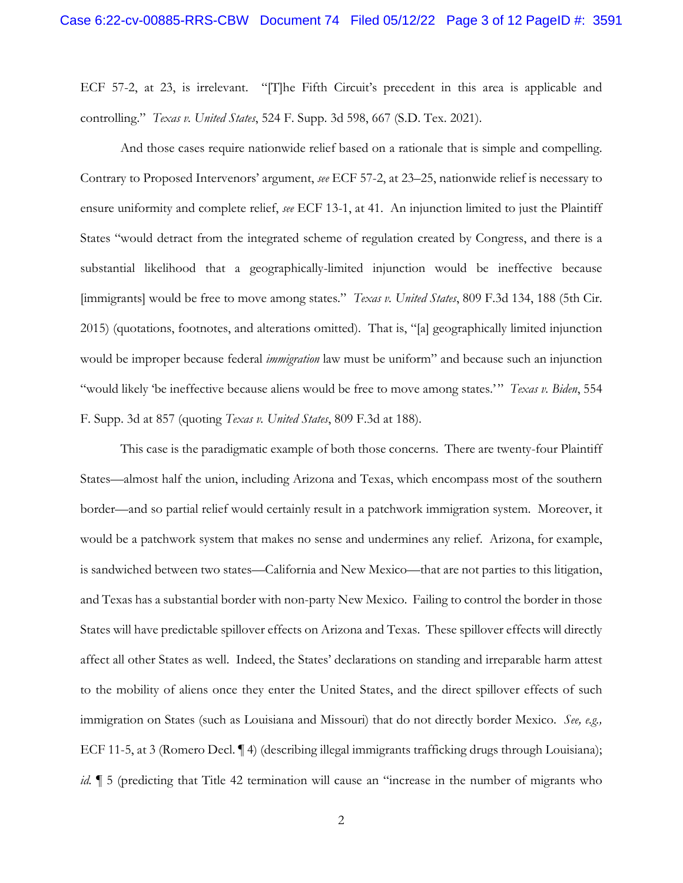ECF 57-2, at 23, is irrelevant. "[T]he Fifth Circuit's precedent in this area is applicable and controlling." *Texas v. United States*, 524 F. Supp. 3d 598, 667 (S.D. Tex. 2021).

And those cases require nationwide relief based on a rationale that is simple and compelling. Contrary to Proposed Intervenors' argument, *see* ECF 57-2, at 23–25, nationwide relief is necessary to ensure uniformity and complete relief, *see* ECF 13-1, at 41. An injunction limited to just the Plaintiff States "would detract from the integrated scheme of regulation created by Congress, and there is a substantial likelihood that a geographically-limited injunction would be ineffective because [immigrants] would be free to move among states." *Texas v. United States*, 809 F.3d 134, 188 (5th Cir. 2015) (quotations, footnotes, and alterations omitted). That is, "[a] geographically limited injunction would be improper because federal *immigration* law must be uniform" and because such an injunction "would likely 'be ineffective because aliens would be free to move among states." *Texas v. Biden*, 554 F. Supp. 3d at 857 (quoting *Texas v. United States*, 809 F.3d at 188).

This case is the paradigmatic example of both those concerns. There are twenty-four Plaintiff States—almost half the union, including Arizona and Texas, which encompass most of the southern border—and so partial relief would certainly result in a patchwork immigration system. Moreover, it would be a patchwork system that makes no sense and undermines any relief. Arizona, for example, is sandwiched between two states—California and New Mexico—that are not parties to this litigation, and Texas has a substantial border with non-party New Mexico. Failing to control the border in those States will have predictable spillover effects on Arizona and Texas. These spillover effects will directly affect all other States as well. Indeed, the States' declarations on standing and irreparable harm attest to the mobility of aliens once they enter the United States, and the direct spillover effects of such immigration on States (such as Louisiana and Missouri) that do not directly border Mexico. *See, e.g.,* ECF 11-5, at 3 (Romero Decl. ¶ 4) (describing illegal immigrants trafficking drugs through Louisiana); *id.*  $\parallel$  5 (predicting that Title 42 termination will cause an "increase in the number of migrants who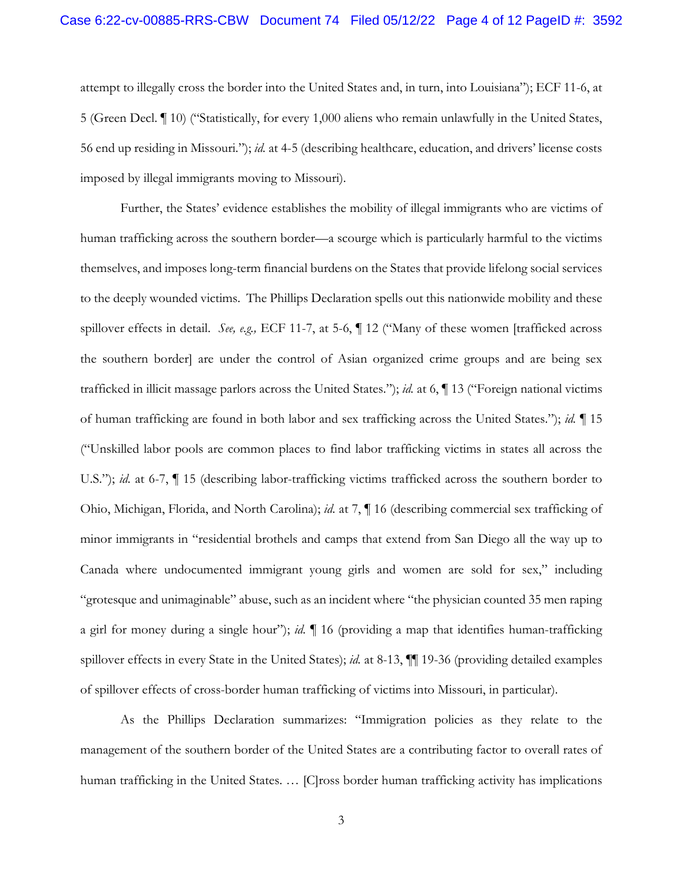attempt to illegally cross the border into the United States and, in turn, into Louisiana"); ECF 11-6, at 5 (Green Decl. ¶ 10) ("Statistically, for every 1,000 aliens who remain unlawfully in the United States, 56 end up residing in Missouri."); *id.* at 4-5 (describing healthcare, education, and drivers' license costs imposed by illegal immigrants moving to Missouri).

Further, the States' evidence establishes the mobility of illegal immigrants who are victims of human trafficking across the southern border—a scourge which is particularly harmful to the victims themselves, and imposes long-term financial burdens on the States that provide lifelong social services to the deeply wounded victims. The Phillips Declaration spells out this nationwide mobility and these spillover effects in detail. *See, e.g.,* ECF 11-7, at 5-6, ¶ 12 ("Many of these women [trafficked across the southern border] are under the control of Asian organized crime groups and are being sex trafficked in illicit massage parlors across the United States."); *id.* at 6, ¶ 13 ("Foreign national victims of human trafficking are found in both labor and sex trafficking across the United States."); *id.* ¶ 15 ("Unskilled labor pools are common places to find labor trafficking victims in states all across the U.S."); *id.* at 6-7,  $\P$  15 (describing labor-trafficking victims trafficked across the southern border to Ohio, Michigan, Florida, and North Carolina); *id.* at 7, ¶ 16 (describing commercial sex trafficking of minor immigrants in "residential brothels and camps that extend from San Diego all the way up to Canada where undocumented immigrant young girls and women are sold for sex," including "grotesque and unimaginable" abuse, such as an incident where "the physician counted 35 men raping a girl for money during a single hour"); *id.* ¶ 16 (providing a map that identifies human-trafficking spillover effects in every State in the United States); *id.* at 8-13, ¶¶ 19-36 (providing detailed examples of spillover effects of cross-border human trafficking of victims into Missouri, in particular).

As the Phillips Declaration summarizes: "Immigration policies as they relate to the management of the southern border of the United States are a contributing factor to overall rates of human trafficking in the United States. … [C]ross border human trafficking activity has implications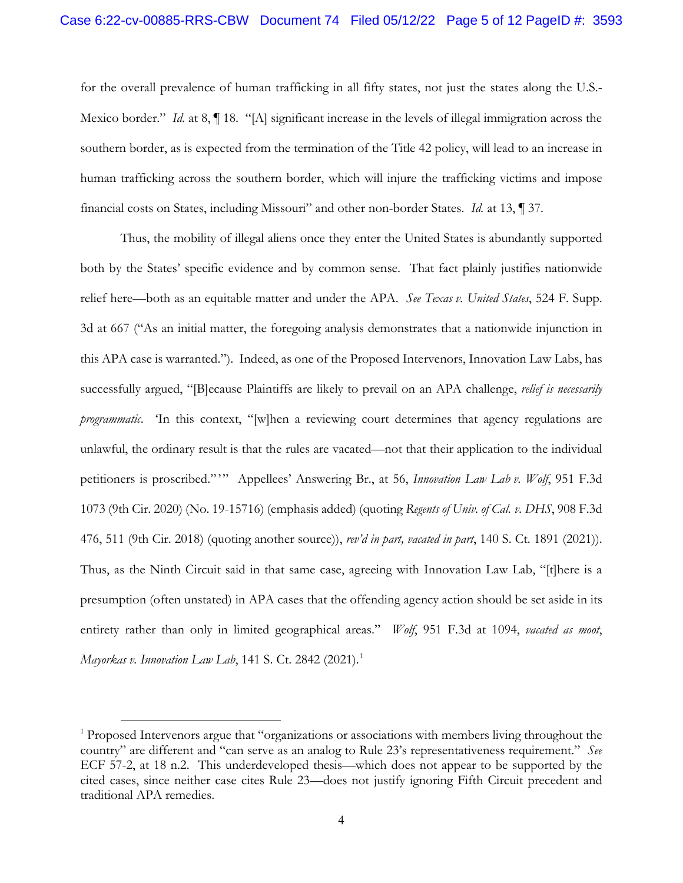for the overall prevalence of human trafficking in all fifty states, not just the states along the U.S.- Mexico border." *Id.* at 8,  $\P$  18. "[A] significant increase in the levels of illegal immigration across the southern border, as is expected from the termination of the Title 42 policy, will lead to an increase in human trafficking across the southern border, which will injure the trafficking victims and impose financial costs on States, including Missouri" and other non-border States. *Id.* at 13, ¶ 37.

Thus, the mobility of illegal aliens once they enter the United States is abundantly supported both by the States' specific evidence and by common sense. That fact plainly justifies nationwide relief here—both as an equitable matter and under the APA. *See Texas v. United States*, 524 F. Supp. 3d at 667 ("As an initial matter, the foregoing analysis demonstrates that a nationwide injunction in this APA case is warranted."). Indeed, as one of the Proposed Intervenors, Innovation Law Labs, has successfully argued, "[B]ecause Plaintiffs are likely to prevail on an APA challenge, *relief is necessarily programmatic*. 'In this context, "[w]hen a reviewing court determines that agency regulations are unlawful, the ordinary result is that the rules are vacated—not that their application to the individual petitioners is proscribed."" Appellees' Answering Br., at 56, *Innovation Law Lab v. Wolf*, 951 F.3d 1073 (9th Cir. 2020) (No. 19-15716) (emphasis added) (quoting *Regents of Univ. of Cal. v. DHS*, 908 F.3d 476, 511 (9th Cir. 2018) (quoting another source)), *rev'd in part, vacated in part*, 140 S. Ct. 1891 (2021)). Thus, as the Ninth Circuit said in that same case, agreeing with Innovation Law Lab, "[t]here is a presumption (often unstated) in APA cases that the offending agency action should be set aside in its entirety rather than only in limited geographical areas." *Wolf*, 951 F.3d at 1094, *vacated as moot*, *Mayorkas v. Innovation Law Lab*, [1](#page-4-0)41 S. Ct. 2842 (2021).<sup>1</sup>

<span id="page-4-0"></span><sup>&</sup>lt;sup>1</sup> Proposed Intervenors argue that "organizations or associations with members living throughout the country" are different and "can serve as an analog to Rule 23's representativeness requirement." *See* ECF 57-2, at 18 n.2. This underdeveloped thesis—which does not appear to be supported by the cited cases, since neither case cites Rule 23—does not justify ignoring Fifth Circuit precedent and traditional APA remedies.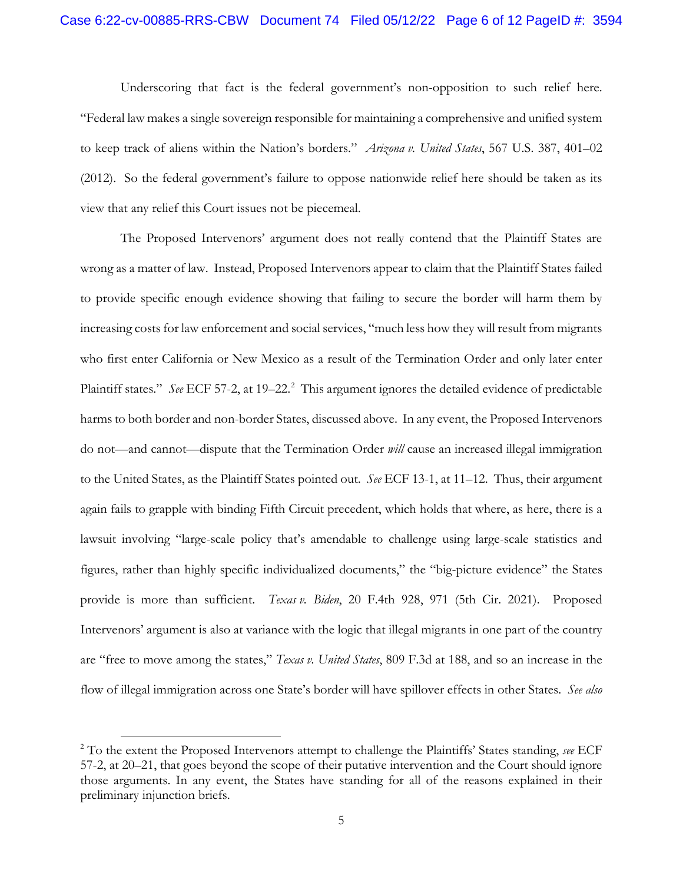Underscoring that fact is the federal government's non-opposition to such relief here. "Federal law makes a single sovereign responsible for maintaining a comprehensive and unified system to keep track of aliens within the Nation's borders." *Arizona v. United States*, 567 U.S. 387, 401–02 (2012). So the federal government's failure to oppose nationwide relief here should be taken as its view that any relief this Court issues not be piecemeal.

The Proposed Intervenors' argument does not really contend that the Plaintiff States are wrong as a matter of law. Instead, Proposed Intervenors appear to claim that the Plaintiff States failed to provide specific enough evidence showing that failing to secure the border will harm them by increasing costs for law enforcement and social services, "much less how they will result from migrants who first enter California or New Mexico as a result of the Termination Order and only later enter Plaintiff states." See ECF 57-[2](#page-5-0), at 19–22.<sup>2</sup> This argument ignores the detailed evidence of predictable harms to both border and non-border States, discussed above. In any event, the Proposed Intervenors do not—and cannot—dispute that the Termination Order *will* cause an increased illegal immigration to the United States, as the Plaintiff States pointed out. *See* ECF 13-1, at 11–12. Thus, their argument again fails to grapple with binding Fifth Circuit precedent, which holds that where, as here, there is a lawsuit involving "large-scale policy that's amendable to challenge using large-scale statistics and figures, rather than highly specific individualized documents," the "big-picture evidence" the States provide is more than sufficient. *Texas v. Biden*, 20 F.4th 928, 971 (5th Cir. 2021). Proposed Intervenors' argument is also at variance with the logic that illegal migrants in one part of the country are "free to move among the states," *Texas v. United States*, 809 F.3d at 188, and so an increase in the flow of illegal immigration across one State's border will have spillover effects in other States. *See also* 

<span id="page-5-0"></span> <sup>2</sup> To the extent the Proposed Intervenors attempt to challenge the Plaintiffs' States standing, *see* ECF 57-2, at 20–21, that goes beyond the scope of their putative intervention and the Court should ignore those arguments. In any event, the States have standing for all of the reasons explained in their preliminary injunction briefs.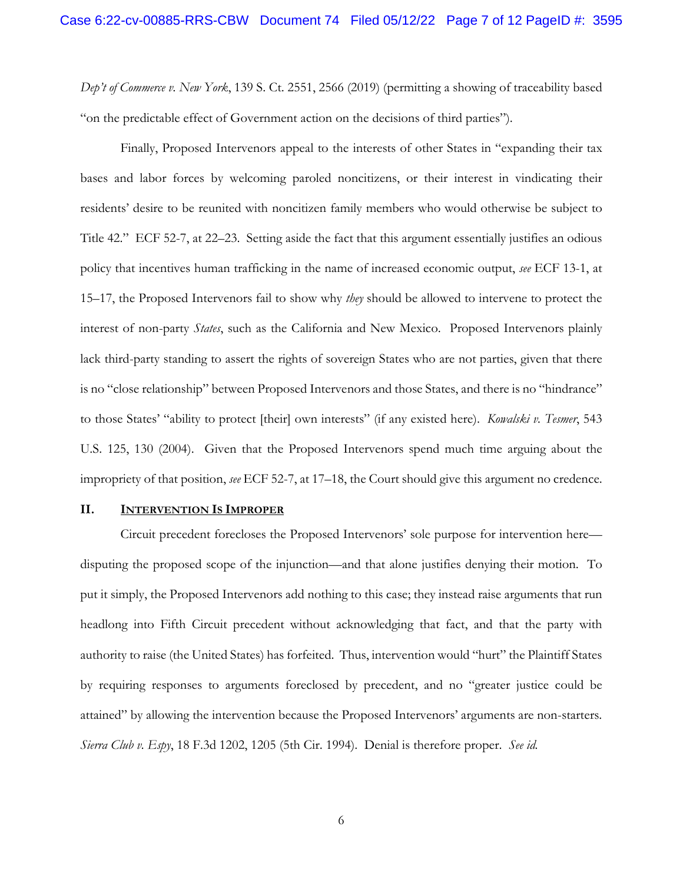*Dep't of Commerce v. New York*, 139 S. Ct. 2551, 2566 (2019) (permitting a showing of traceability based "on the predictable effect of Government action on the decisions of third parties").

Finally, Proposed Intervenors appeal to the interests of other States in "expanding their tax bases and labor forces by welcoming paroled noncitizens, or their interest in vindicating their residents' desire to be reunited with noncitizen family members who would otherwise be subject to Title 42." ECF 52-7, at 22–23. Setting aside the fact that this argument essentially justifies an odious policy that incentives human trafficking in the name of increased economic output, *see* ECF 13-1, at 15–17, the Proposed Intervenors fail to show why *they* should be allowed to intervene to protect the interest of non-party *States*, such as the California and New Mexico. Proposed Intervenors plainly lack third-party standing to assert the rights of sovereign States who are not parties, given that there is no "close relationship" between Proposed Intervenors and those States, and there is no "hindrance" to those States' "ability to protect [their] own interests" (if any existed here). *Kowalski v. Tesmer*, 543 U.S. 125, 130 (2004). Given that the Proposed Intervenors spend much time arguing about the impropriety of that position, *see* ECF 52-7, at 17–18, the Court should give this argument no credence.

#### **II. INTERVENTION IS IMPROPER**

Circuit precedent forecloses the Proposed Intervenors' sole purpose for intervention here disputing the proposed scope of the injunction—and that alone justifies denying their motion. To put it simply, the Proposed Intervenors add nothing to this case; they instead raise arguments that run headlong into Fifth Circuit precedent without acknowledging that fact, and that the party with authority to raise (the United States) has forfeited. Thus, intervention would "hurt" the Plaintiff States by requiring responses to arguments foreclosed by precedent, and no "greater justice could be attained" by allowing the intervention because the Proposed Intervenors' arguments are non-starters. *Sierra Club v. Espy*, 18 F.3d 1202, 1205 (5th Cir. 1994). Denial is therefore proper. *See id.*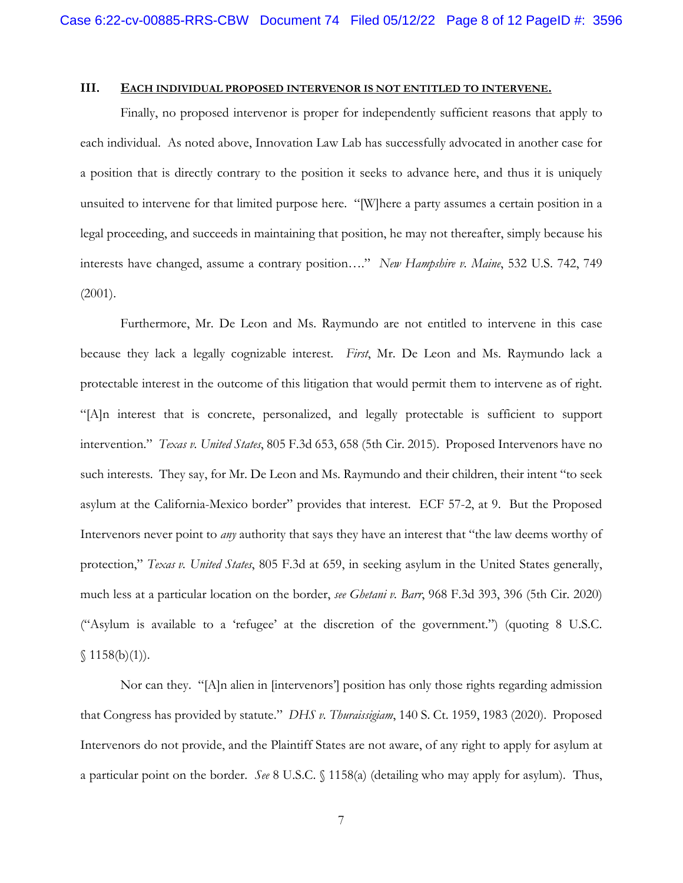# **III. EACH INDIVIDUAL PROPOSED INTERVENOR IS NOT ENTITLED TO INTERVENE.**

Finally, no proposed intervenor is proper for independently sufficient reasons that apply to each individual. As noted above, Innovation Law Lab has successfully advocated in another case for a position that is directly contrary to the position it seeks to advance here, and thus it is uniquely unsuited to intervene for that limited purpose here. "[W]here a party assumes a certain position in a legal proceeding, and succeeds in maintaining that position, he may not thereafter, simply because his interests have changed, assume a contrary position…." *New Hampshire v. Maine*, 532 U.S. 742, 749 (2001).

Furthermore, Mr. De Leon and Ms. Raymundo are not entitled to intervene in this case because they lack a legally cognizable interest. *First*, Mr. De Leon and Ms. Raymundo lack a protectable interest in the outcome of this litigation that would permit them to intervene as of right. "[A]n interest that is concrete, personalized, and legally protectable is sufficient to support intervention." *Texas v. United States*, 805 F.3d 653, 658 (5th Cir. 2015). Proposed Intervenors have no such interests. They say, for Mr. De Leon and Ms. Raymundo and their children, their intent "to seek asylum at the California-Mexico border" provides that interest. ECF 57-2, at 9. But the Proposed Intervenors never point to *any* authority that says they have an interest that "the law deems worthy of protection," *Texas v. United States*, 805 F.3d at 659, in seeking asylum in the United States generally, much less at a particular location on the border, *see Ghetani v. Barr*, 968 F.3d 393, 396 (5th Cir. 2020) ("Asylum is available to a 'refugee' at the discretion of the government.") (quoting 8 U.S.C.  $$1158(b)(1)$ .

Nor can they. "[A]n alien in [intervenors'] position has only those rights regarding admission that Congress has provided by statute." *DHS v. Thuraissigiam*, 140 S. Ct. 1959, 1983 (2020). Proposed Intervenors do not provide, and the Plaintiff States are not aware, of any right to apply for asylum at a particular point on the border. *See* 8 U.S.C. § 1158(a) (detailing who may apply for asylum). Thus,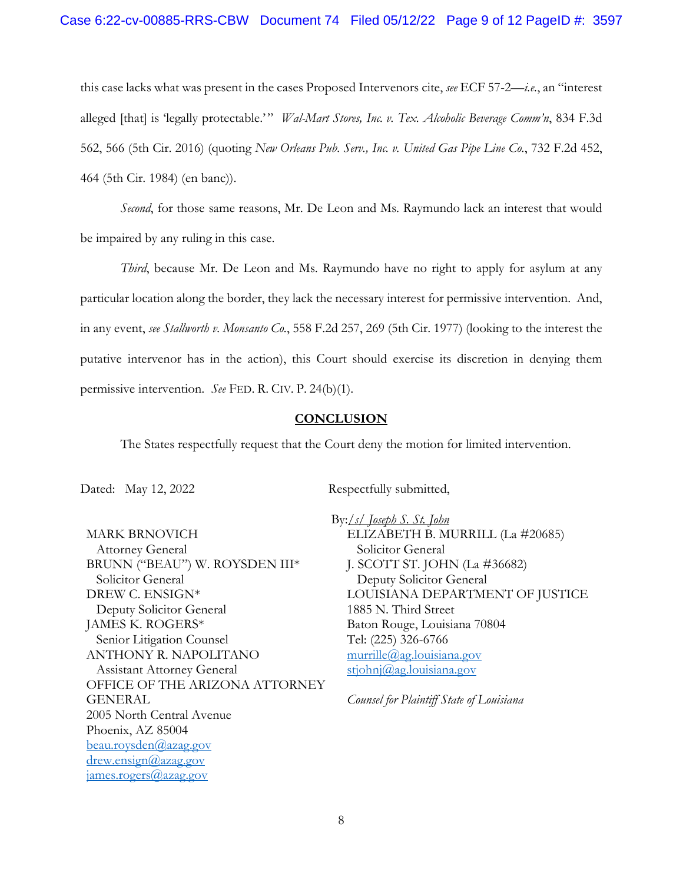### Case 6:22-cv-00885-RRS-CBW Document 74 Filed 05/12/22 Page 9 of 12 PageID #: 3597

this case lacks what was present in the cases Proposed Intervenors cite, *see* ECF 57-2—*i.e.*, an "interest alleged [that] is 'legally protectable.'" *Wal-Mart Stores, Inc. v. Tex. Alcoholic Beverage Comm'n*, 834 F.3d 562, 566 (5th Cir. 2016) (quoting *New Orleans Pub. Serv., Inc. v. United Gas Pipe Line Co.*, 732 F.2d 452, 464 (5th Cir. 1984) (en banc)).

*Second*, for those same reasons, Mr. De Leon and Ms. Raymundo lack an interest that would be impaired by any ruling in this case.

*Third*, because Mr. De Leon and Ms. Raymundo have no right to apply for asylum at any particular location along the border, they lack the necessary interest for permissive intervention. And, in any event, *see Stallworth v. Monsanto Co.*, 558 F.2d 257, 269 (5th Cir. 1977) (looking to the interest the putative intervenor has in the action), this Court should exercise its discretion in denying them permissive intervention. *See* FED. R. CIV. P. 24(b)(1).

# **CONCLUSION**

The States respectfully request that the Court deny the motion for limited intervention.

Dated: May 12, 2022 Respectfully submitted,

MARK BRNOVICH Attorney General BRUNN ("BEAU") W. ROYSDEN III\* Solicitor General DREW C. ENSIGN\* Deputy Solicitor General JAMES K. ROGERS\* Senior Litigation Counsel ANTHONY R. NAPOLITANO Assistant Attorney General OFFICE OF THE ARIZONA ATTORNEY GENERAL 2005 North Central Avenue Phoenix, AZ 85004 [beau.roysden@azag.gov](mailto:beau.roysden@azag.gov) [drew.ensign@azag.gov](mailto:drew.ensign@azag.gov) [james.rogers@azag.gov](mailto:james.rogers@azag.gov)

 By:*/s/ Joseph S. St. John*  ELIZABETH B. MURRILL (La #20685) Solicitor General J. SCOTT ST. JOHN (La #36682) Deputy Solicitor General LOUISIANA DEPARTMENT OF JUSTICE 1885 N. Third Street Baton Rouge, Louisiana 70804 Tel: (225) 326-6766 [murrille@ag.louisiana.gov](mailto:murrille@ag.louisiana.gov) [stjohnj@ag.louisiana.gov](mailto:stjohnj@ag.louisiana.gov)

*Counsel for Plaintiff State of Louisiana*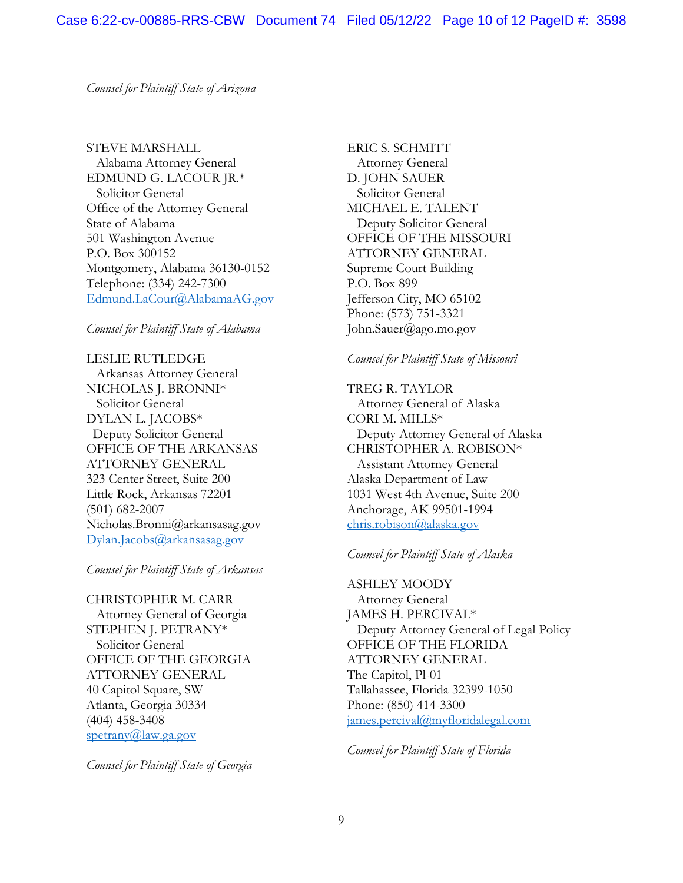*Counsel for Plaintiff State of Arizona*

STEVE MARSHALL Alabama Attorney General EDMUND G. LACOUR JR.\* Solicitor General Office of the Attorney General State of Alabama 501 Washington Avenue P.O. Box 300152 Montgomery, Alabama 36130-0152 Telephone: (334) 242-7300 [Edmund.LaCour@AlabamaAG.gov](mailto:Edmund.LaCour@AlabamaAG.gov) 

### *Counsel for Plaintiff State of Alabama*

LESLIE RUTLEDGE Arkansas Attorney General NICHOLAS J. BRONNI\* Solicitor General DYLAN L. JACOBS\* Deputy Solicitor General OFFICE OF THE ARKANSAS ATTORNEY GENERAL 323 Center Street, Suite 200 Little Rock, Arkansas 72201 (501) 682-2007 Nicholas.Bronni@arkansasag.gov [Dylan.Jacobs@arkansasag.gov](mailto:Dylan.Jacobs@arkansasag.gov)

*Counsel for Plaintiff State of Arkansas*

CHRISTOPHER M. CARR Attorney General of Georgia STEPHEN J. PETRANY\* Solicitor General OFFICE OF THE GEORGIA ATTORNEY GENERAL 40 Capitol Square, SW Atlanta, Georgia 30334 (404) 458-3408 [spetrany@law.ga.gov](mailto:spetrany@law.ga.gov) 

*Counsel for Plaintiff State of Georgia*

ERIC S. SCHMITT Attorney General D. JOHN SAUER Solicitor General MICHAEL E. TALENT Deputy Solicitor General OFFICE OF THE MISSOURI ATTORNEY GENERAL Supreme Court Building P.O. Box 899 Jefferson City, MO 65102 Phone: (573) 751-3321 John.Sauer@ago.mo.gov

#### *Counsel for Plaintiff State of Missouri*

TREG R. TAYLOR Attorney General of Alaska CORI M. MILLS\* Deputy Attorney General of Alaska CHRISTOPHER A. ROBISON\* Assistant Attorney General Alaska Department of Law 1031 West 4th Avenue, Suite 200 Anchorage, AK 99501-1994 [chris.robison@alaska.gov](mailto:chris.robison@alaska.gov) 

#### *Counsel for Plaintiff State of Alaska*

ASHLEY MOODY Attorney General JAMES H. PERCIVAL\* Deputy Attorney General of Legal Policy OFFICE OF THE FLORIDA ATTORNEY GENERAL The Capitol, Pl-01 Tallahassee, Florida 32399-1050 Phone: (850) 414-3300 [james.percival@myfloridalegal.com](mailto:james.percival@myfloridalegal.com)

*Counsel for Plaintiff State of Florida*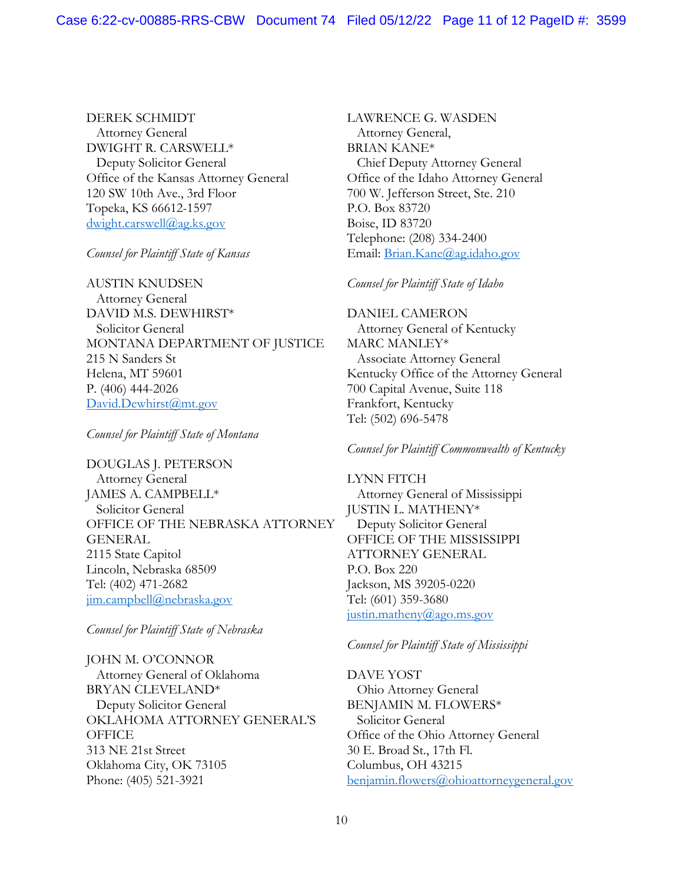DEREK SCHMIDT Attorney General DWIGHT R. CARSWELL\* Deputy Solicitor General Office of the Kansas Attorney General 120 SW 10th Ave., 3rd Floor Topeka, KS 66612-1597 [dwight.carswell@ag.ks.gov](mailto:dwight.carswell@ag.ks.gov) 

*Counsel for Plaintiff State of Kansas*

AUSTIN KNUDSEN Attorney General DAVID M.S. DEWHIRST\* Solicitor General MONTANA DEPARTMENT OF JUSTICE 215 N Sanders St Helena, MT 59601 P. (406) 444-2026 David.Dewhirst@mt.gov

*Counsel for Plaintiff State of Montana*

DOUGLAS J. PETERSON Attorney General JAMES A. CAMPBELL\* Solicitor General OFFICE OF THE NEBRASKA ATTORNEY GENERAL 2115 State Capitol Lincoln, Nebraska 68509 Tel: (402) 471-2682 [jim.campbell@nebraska.gov](mailto:jim.campbell@nebraska.gov) 

*Counsel for Plaintiff State of Nebraska*

JOHN M. O'CONNOR Attorney General of Oklahoma BRYAN CLEVELAND\* Deputy Solicitor General OKLAHOMA ATTORNEY GENERAL'S **OFFICE** 313 NE 21st Street Oklahoma City, OK 73105 Phone: (405) 521-3921

LAWRENCE G. WASDEN Attorney General, BRIAN KANE\* Chief Deputy Attorney General Office of the Idaho Attorney General 700 W. Jefferson Street, Ste. 210 P.O. Box 83720 Boise, ID 83720 Telephone: (208) 334-2400 Email: [Brian.Kane@ag.idaho.gov](mailto:Brian.Kane@ag.idaho.gov) 

*Counsel for Plaintiff State of Idaho*

DANIEL CAMERON Attorney General of Kentucky MARC MANLEY\* Associate Attorney General Kentucky Office of the Attorney General 700 Capital Avenue, Suite 118 Frankfort, Kentucky Tel: (502) 696-5478

*Counsel for Plaintiff Commonwealth of Kentucky*

LYNN FITCH Attorney General of Mississippi JUSTIN L. MATHENY\* Deputy Solicitor General OFFICE OF THE MISSISSIPPI ATTORNEY GENERAL P.O. Box 220 Jackson, MS 39205-0220 Tel: (601) 359-3680 justin.matheny@ago.ms.gov

# *Counsel for Plaintiff State of Mississippi*

DAVE YOST Ohio Attorney General BENJAMIN M. FLOWERS\* Solicitor General Office of the Ohio Attorney General 30 E. Broad St., 17th Fl. Columbus, OH 43215 [benjamin.flowers@ohioattorneygeneral.gov](mailto:benjamin.flowers@ohioattorneygeneral.gov)